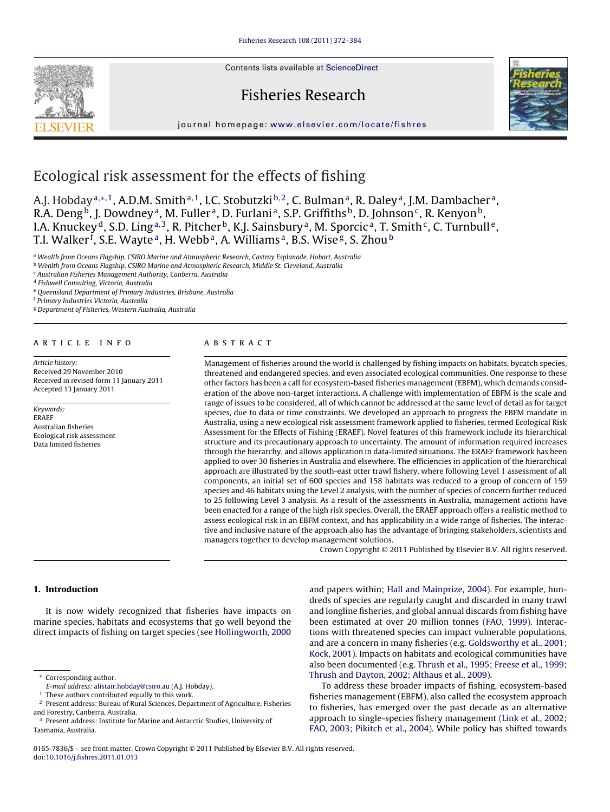Contents lists available at [ScienceDirect](http://www.sciencedirect.com/science/journal/01657836)







journal homepage: [www.elsevier.com/locate/fishres](http://www.elsevier.com/locate/fishres)

# Ecological risk assessment for the effects of fishing

A.J. Hobday<sup>a,∗,1</sup>, A.D.M. Smith<sup>a,1</sup>, I.C. Stobutzki<sup>b,2</sup>, C. Bulman<sup>a</sup>, R. Daley<sup>a</sup>, J.M. Dambacher<sup>a</sup>, R.A. Deng<sup>b</sup>, J. Dowdney<sup>a</sup>, M. Fuller<sup>a</sup>, D. Furlani<sup>a</sup>, S.P. Griffiths<sup>b</sup>, D. Johnson<sup>c</sup>, R. Kenyon<sup>b</sup>, I.A. Knuckey<sup>d</sup>, S.D. Ling<sup>a,3</sup>, R. Pitcher<sup>b</sup>, K.J. Sainsbury<sup>a</sup>, M. Sporcic<sup>a</sup>, T. Smith<sup>c</sup>, C. Turnbull<sup>e</sup>, T.I. Walker<sup>f</sup>, S.E. Wayte<sup>a</sup>, H. Webb<sup>a</sup>, A. Williams<sup>a</sup>, B.S. Wise<sup>g</sup>, S. Zhou<sup>b</sup>

<sup>a</sup> Wealth from Oceans Flagship, CSIRO Marine and Atmospheric Research, Castray Esplanade, Hobart, Australia

<sup>b</sup> Wealth from Oceans Flagship, CSIRO Marine and Atmospheric Research, Middle St, Cleveland, Australia

<sup>c</sup> Australian Fisheries Management Authority, Canberra, Australia

<sup>d</sup> Fishwell Consulting, Victoria, Australia

<sup>e</sup> Queensland Department of Primary Industries, Brisbane, Australia

<sup>f</sup> Primary Industries Victoria, Australia

<sup>g</sup> Department of Fisheries, Western Australia, Australia

#### article info

Article history: Received 29 November 2010 Received in revised form 11 January 2011 Accepted 13 January 2011

Keywords: ERAEF Australian fisheries Ecological risk assessment Data limited fisheries

# **ABSTRACT**

Management of fisheries around the world is challenged by fishing impacts on habitats, bycatch species, threatened and endangered species, and even associated ecological communities. One response to these other factors has been a call for ecosystem-based fisheries management (EBFM), which demands consideration of the above non-target interactions. A challenge with implementation of EBFM is the scale and range of issues to be considered, all of which cannot be addressed at the same level of detail as for target species, due to data or time constraints. We developed an approach to progress the EBFM mandate in Australia, using a new ecological risk assessment framework applied to fisheries, termed Ecological Risk Assessment for the Effects of Fishing (ERAEF). Novel features of this framework include its hierarchical structure and its precautionary approach to uncertainty. The amount of information required increases through the hierarchy, and allows application in data-limited situations. The ERAEF framework has been applied to over 30 fisheries in Australia and elsewhere. The efficiencies in application of the hierarchical approach are illustrated by the south-east otter trawl fishery, where following Level 1 assessment of all components, an initial set of 600 species and 158 habitats was reduced to a group of concern of 159 species and 46 habitats using the Level 2 analysis, with the number of species of concern further reduced to 25 following Level 3 analysis. As a result of the assessments in Australia, management actions have been enacted for a range of the high risk species. Overall, the ERAEF approach offers a realistic method to assess ecological risk in an EBFM context, and has applicability in a wide range of fisheries. The interactive and inclusive nature of the approach also has the advantage of bringing stakeholders, scientists and managers together to develop management solutions.

Crown Copyright © 2011 Published by Elsevier B.V. All rights reserved.

# **1. Introduction**

It is now widely recognized that fisheries have impacts on marine species, habitats and ecosystems that go well beyond the direct impacts of fishing on target species (see [Hollingworth, 2000](#page-11-0)

∗ Corresponding author.

and papers within; [Hall and Mainprize, 2004\).](#page-11-0) For example, hundreds of species are regularly caught and discarded in many trawl and longline fisheries, and global annual discards from fishing have been estimated at over 20 million tonnes ([FAO, 1999\).](#page-11-0) Interactions with threatened species can impact vulnerable populations, and are a concern in many fisheries (e.g. [Goldsworthy et al., 2001;](#page-11-0) [Kock, 2001\).](#page-11-0) Impacts on habitats and ecological communities have also been documented (e.g. [Thrush et al., 1995; Freese et al., 1999;](#page-11-0) [Thrush and Dayton, 2002; Althaus et al., 2009\).](#page-11-0)

To address these broader impacts of fishing, ecosystem-based fisheries management (EBFM), also called the ecosystem approach to fisheries, has emerged over the past decade as an alternative approach to single-species fishery management [\(Link et al., 2002;](#page-11-0) [FAO, 2003; Pikitch et al., 2004\).](#page-11-0) While policy has shifted towards

0165-7836/\$ – see front matter. Crown Copyright © 2011 Published by Elsevier B.V. All rights reserved. doi:[10.1016/j.fishres.2011.01.013](dx.doi.org/10.1016/j.fishres.2011.01.013)

E-mail address: [alistair.hobday@csiro.au](mailto:alistair.hobday@csiro.au) (A.J. Hobday).

 $^1\,$  These authors contributed equally to this work.

<sup>&</sup>lt;sup>2</sup> Present address: Bureau of Rural Sciences, Department of Agriculture, Fisheries and Forestry, Canberra, Australia.

<sup>&</sup>lt;sup>3</sup> Present address: Institute for Marine and Antarctic Studies, University of Tasmania, Australia.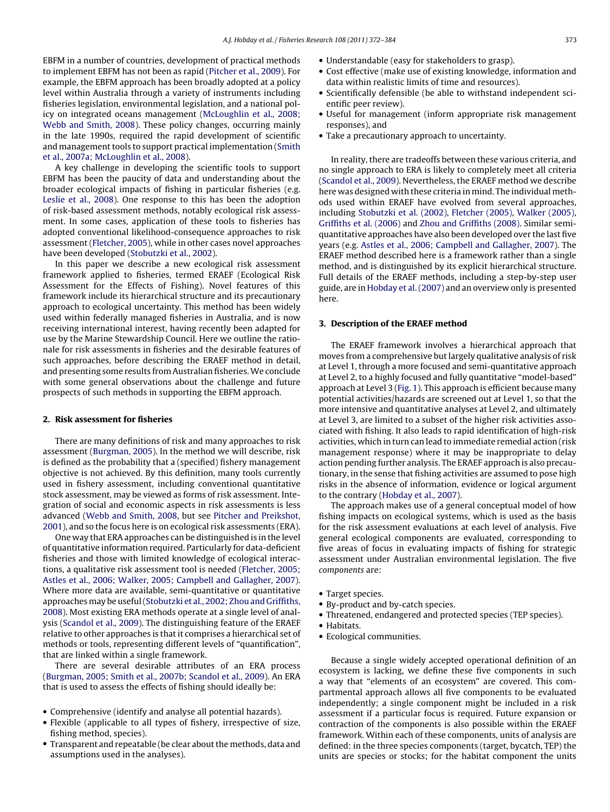EBFM in a number of countries, development of practical methods to implement EBFM has not been as rapid [\(Pitcher et al., 2009\).](#page-11-0) For example, the EBFM approach has been broadly adopted at a policy level within Australia through a variety of instruments including fisheries legislation, environmental legislation, and a national policy on integrated oceans management [\(McLoughlin et al., 2008;](#page-11-0) [Webb and Smith, 2008\).](#page-11-0) These policy changes, occurring mainly in the late 1990s, required the rapid development of scientific and management tools to support practical implementation ([Smith](#page-11-0) [et al., 2007a; McLoughlin et al., 2008\).](#page-11-0)

A key challenge in developing the scientific tools to support EBFM has been the paucity of data and understanding about the broader ecological impacts of fishing in particular fisheries (e.g. [Leslie et al., 2008\).](#page-11-0) One response to this has been the adoption of risk-based assessment methods, notably ecological risk assessment. In some cases, application of these tools to fisheries has adopted conventional likelihood-consequence approaches to risk assessment [\(Fletcher, 2005\),](#page-11-0) while in other cases novel approaches have been developed [\(Stobutzki et al., 2002\).](#page-11-0)

In this paper we describe a new ecological risk assessment framework applied to fisheries, termed ERAEF (Ecological Risk Assessment for the Effects of Fishing). Novel features of this framework include its hierarchical structure and its precautionary approach to ecological uncertainty. This method has been widely used within federally managed fisheries in Australia, and is now receiving international interest, having recently been adapted for use by the Marine Stewardship Council. Here we outline the rationale for risk assessments in fisheries and the desirable features of such approaches, before describing the ERAEF method in detail, and presenting some results from Australian fisheries.We conclude with some general observations about the challenge and future prospects of such methods in supporting the EBFM approach.

# **2. Risk assessment for fisheries**

There are many definitions of risk and many approaches to risk assessment ([Burgman, 2005\).](#page-11-0) In the method we will describe, risk is defined as the probability that a (specified) fishery management objective is not achieved. By this definition, many tools currently used in fishery assessment, including conventional quantitative stock assessment, may be viewed as forms of risk assessment. Integration of social and economic aspects in risk assessments is less advanced [\(Webb and Smith, 2008, b](#page-12-0)ut see [Pitcher and Preikshot,](#page-11-0) [2001\),](#page-11-0) and so the focus here is on ecological risk assessments (ERA).

One way that ERA approaches can be distinguished is in the level of quantitative information required. Particularly for data-deficient fisheries and those with limited knowledge of ecological interactions, a qualitative risk assessment tool is needed [\(Fletcher, 2005;](#page-11-0) [Astles et al., 2006; Walker, 2005; Campbell and Gallagher, 2007\).](#page-11-0) Where more data are available, semi-quantitative or quantitative approaches may be useful ([Stobutzki et al., 2002; Zhou and Griffiths,](#page-11-0) [2008\).](#page-11-0) Most existing ERA methods operate at a single level of analysis ([Scandol et al., 2009\).](#page-11-0) The distinguishing feature of the ERAEF relative to other approaches is that it comprises a hierarchical set of methods or tools, representing different levels of "quantification", that are linked within a single framework.

There are several desirable attributes of an ERA process ([Burgman, 2005; Smith et al., 2007b; Scandol et al., 2009\).](#page-11-0) An ERA that is used to assess the effects of fishing should ideally be:

- Comprehensive (identify and analyse all potential hazards).
- Flexible (applicable to all types of fishery, irrespective of size, fishing method, species).
- Transparent and repeatable (be clear about the methods, data and assumptions used in the analyses).
- Understandable (easy for stakeholders to grasp).
- Cost effective (make use of existing knowledge, information and data within realistic limits of time and resources).
- Scientifically defensible (be able to withstand independent scientific peer review).
- Useful for management (inform appropriate risk management responses), and
- Take a precautionary approach to uncertainty.

In reality, there are tradeoffs between these various criteria, and no single approach to ERA is likely to completely meet all criteria [\(Scandol et al., 2009\).](#page-11-0) Nevertheless, the ERAEF method we describe here was designed with these criteria in mind. The individual methods used within ERAEF have evolved from several approaches, including [Stobutzki et al. \(2002\),](#page-11-0) [Fletcher \(2005\),](#page-11-0) [Walker \(2005\),](#page-11-0) [Griffiths et al. \(2006\)](#page-11-0) and [Zhou and Griffiths \(2008\). S](#page-12-0)imilar semiquantitative approaches have also been developed over the last five years (e.g. [Astles et al., 2006; Campbell and Gallagher, 2007\).](#page-11-0) The ERAEF method described here is a framework rather than a single method, and is distinguished by its explicit hierarchical structure. Full details of the ERAEF methods, including a step-by-step user guide, are in [Hobday et al. \(2007\)](#page-11-0) and an overview only is presented here.

#### **3. Description of the ERAEF method**

The ERAEF framework involves a hierarchical approach that moves from a comprehensive but largely qualitative analysis of risk at Level 1, through a more focused and semi-quantitative approach at Level 2, to a highly focused and fully quantitative "model-based" approach at Level 3 [\(Fig. 1\).](#page-2-0) This approach is efficient because many potential activities/hazards are screened out at Level 1, so that the more intensive and quantitative analyses at Level 2, and ultimately at Level 3, are limited to a subset of the higher risk activities associated with fishing. It also leads to rapid identification of high-risk activities, which in turn can lead to immediate remedial action (risk management response) where it may be inappropriate to delay action pending further analysis. The ERAEF approach is also precautionary, in the sense that fishing activities are assumed to pose high risks in the absence of information, evidence or logical argument to the contrary [\(Hobday et al., 2007\).](#page-11-0)

The approach makes use of a general conceptual model of how fishing impacts on ecological systems, which is used as the basis for the risk assessment evaluations at each level of analysis. Five general ecological components are evaluated, corresponding to five areas of focus in evaluating impacts of fishing for strategic assessment under Australian environmental legislation. The five components are:

- Target species.
- By-product and by-catch species.
- Threatened, endangered and protected species (TEP species).
- Habitats.
- Ecological communities.

Because a single widely accepted operational definition of an ecosystem is lacking, we define these five components in such a way that "elements of an ecosystem" are covered. This compartmental approach allows all five components to be evaluated independently; a single component might be included in a risk assessment if a particular focus is required. Future expansion or contraction of the components is also possible within the ERAEF framework. Within each of these components, units of analysis are defined: in the three species components (target, bycatch, TEP) the units are species or stocks; for the habitat component the units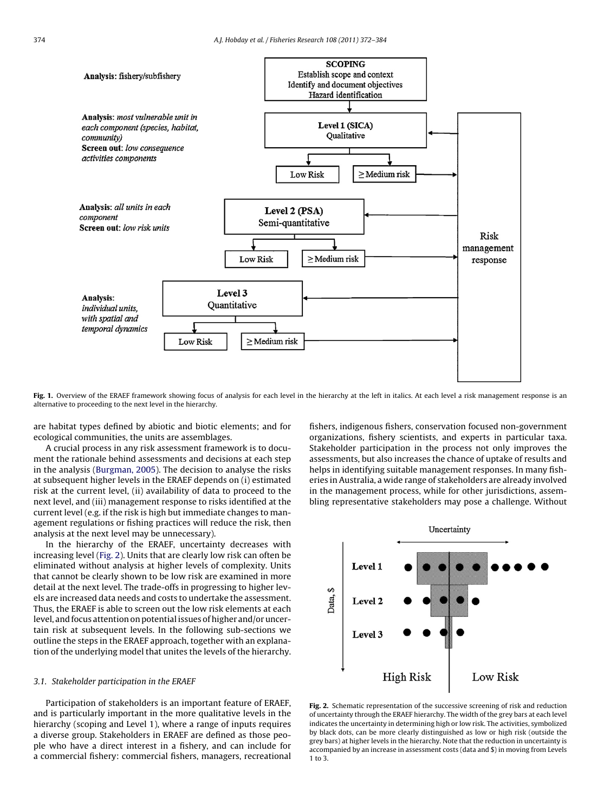<span id="page-2-0"></span>

Fig. 1. Overview of the ERAEF framework showing focus of analysis for each level in the hierarchy at the left in italics. At each level a risk management response is an alternative to proceeding to the next level in the hierarchy.

are habitat types defined by abiotic and biotic elements; and for ecological communities, the units are assemblages.

A crucial process in any risk assessment framework is to document the rationale behind assessments and decisions at each step in the analysis ([Burgman, 2005\).](#page-11-0) The decision to analyse the risks at subsequent higher levels in the ERAEF depends on (i) estimated risk at the current level, (ii) availability of data to proceed to the next level, and (iii) management response to risks identified at the current level (e.g. if the risk is high but immediate changes to management regulations or fishing practices will reduce the risk, then analysis at the next level may be unnecessary).

In the hierarchy of the ERAEF, uncertainty decreases with increasing level (Fig. 2). Units that are clearly low risk can often be eliminated without analysis at higher levels of complexity. Units that cannot be clearly shown to be low risk are examined in more detail at the next level. The trade-offs in progressing to higher levels are increased data needs and costs to undertake the assessment. Thus, the ERAEF is able to screen out the low risk elements at each level, and focus attention on potential issues of higher and/or uncertain risk at subsequent levels. In the following sub-sections we outline the steps in the ERAEF approach, together with an explanation of the underlying model that unites the levels of the hierarchy.

#### 3.1. Stakeholder participation in the ERAEF

Participation of stakeholders is an important feature of ERAEF, and is particularly important in the more qualitative levels in the hierarchy (scoping and Level 1), where a range of inputs requires a diverse group. Stakeholders in ERAEF are defined as those people who have a direct interest in a fishery, and can include for a commercial fishery: commercial fishers, managers, recreational fishers, indigenous fishers, conservation focused non-government organizations, fishery scientists, and experts in particular taxa. Stakeholder participation in the process not only improves the assessments, but also increases the chance of uptake of results and helps in identifying suitable management responses. In many fisheries in Australia, a wide range of stakeholders are already involved in the management process, while for other jurisdictions, assembling representative stakeholders may pose a challenge. Without



**Fig. 2.** Schematic representation of the successive screening of risk and reduction of uncertainty through the ERAEF hierarchy. The width of the grey bars at each level indicates the uncertainty in determining high or low risk. The activities, symbolized by black dots, can be more clearly distinguished as low or high risk (outside the grey bars) at higher levels in the hierarchy. Note that the reduction in uncertainty is accompanied by an increase in assessment costs (data and \$) in moving from Levels 1 to 3.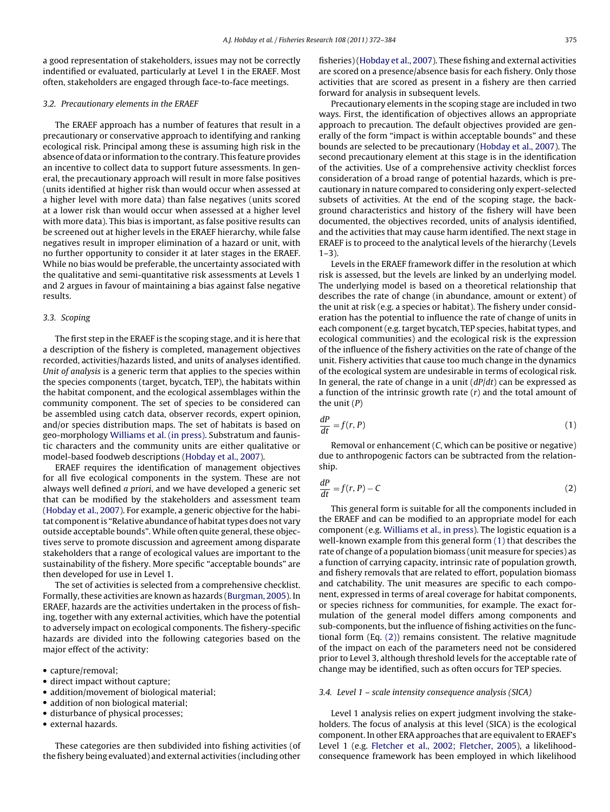a good representation of stakeholders, issues may not be correctly indentified or evaluated, particularly at Level 1 in the ERAEF. Most often, stakeholders are engaged through face-to-face meetings.

# 3.2. Precautionary elements in the ERAEF

The ERAEF approach has a number of features that result in a precautionary or conservative approach to identifying and ranking ecological risk. Principal among these is assuming high risk in the absence of data or information to the contrary. This feature provides an incentive to collect data to support future assessments. In general, the precautionary approach will result in more false positives (units identified at higher risk than would occur when assessed at a higher level with more data) than false negatives (units scored at a lower risk than would occur when assessed at a higher level with more data). This bias is important, as false positive results can be screened out at higher levels in the ERAEF hierarchy, while false negatives result in improper elimination of a hazard or unit, with no further opportunity to consider it at later stages in the ERAEF. While no bias would be preferable, the uncertainty associated with the qualitative and semi-quantitative risk assessments at Levels 1 and 2 argues in favour of maintaining a bias against false negative results.

# 3.3. Scoping

The first step in the ERAEF is the scoping stage, and it is here that a description of the fishery is completed, management objectives recorded, activities/hazards listed, and units of analyses identified. Unit of analysis is a generic term that applies to the species within the species components (target, bycatch, TEP), the habitats within the habitat component, and the ecological assemblages within the community component. The set of species to be considered can be assembled using catch data, observer records, expert opinion, and/or species distribution maps. The set of habitats is based on geo-morphology [Williams et al. \(in press\). S](#page-12-0)ubstratum and faunistic characters and the community units are either qualitative or model-based foodweb descriptions [\(Hobday et al., 2007\).](#page-11-0)

ERAEF requires the identification of management objectives for all five ecological components in the system. These are not always well defined a priori, and we have developed a generic set that can be modified by the stakeholders and assessment team ([Hobday et al., 2007\).](#page-11-0) For example, a generic objective for the habitat component is "Relative abundance of habitat types does not vary outside acceptable bounds". While often quite general, these objectives serve to promote discussion and agreement among disparate stakeholders that a range of ecological values are important to the sustainability of the fishery. More specific "acceptable bounds" are then developed for use in Level 1.

The set of activities is selected from a comprehensive checklist. Formally, these activities are known as hazards [\(Burgman, 2005\).](#page-11-0) In ERAEF, hazards are the activities undertaken in the process of fishing, together with any external activities, which have the potential to adversely impact on ecological components. The fishery-specific hazards are divided into the following categories based on the major effect of the activity:

- capture/removal;
- direct impact without capture;
- addition/movement of biological material;
- addition of non biological material;
- disturbance of physical processes;
- external hazards.

These categories are then subdivided into fishing activities (of the fishery being evaluated) and external activities (including other fisheries) [\(Hobday et al., 2007\).](#page-11-0) These fishing and external activities are scored on a presence/absence basis for each fishery. Only those activities that are scored as present in a fishery are then carried forward for analysis in subsequent levels.

Precautionary elements in the scoping stage are included in two ways. First, the identification of objectives allows an appropriate approach to precaution. The default objectives provided are generally of the form "impact is within acceptable bounds" and these bounds are selected to be precautionary ([Hobday et al., 2007\).](#page-11-0) The second precautionary element at this stage is in the identification of the activities. Use of a comprehensive activity checklist forces consideration of a broad range of potential hazards, which is precautionary in nature compared to considering only expert-selected subsets of activities. At the end of the scoping stage, the background characteristics and history of the fishery will have been documented, the objectives recorded, units of analysis identified, and the activities that may cause harm identified. The next stage in ERAEF is to proceed to the analytical levels of the hierarchy (Levels  $1-3$ ).

Levels in the ERAEF framework differ in the resolution at which risk is assessed, but the levels are linked by an underlying model. The underlying model is based on a theoretical relationship that describes the rate of change (in abundance, amount or extent) of the unit at risk (e.g. a species or habitat). The fishery under consideration has the potential to influence the rate of change of units in each component (e.g. target bycatch, TEP species, habitat types, and ecological communities) and the ecological risk is the expression of the influence of the fishery activities on the rate of change of the unit. Fishery activities that cause too much change in the dynamics of the ecological system are undesirable in terms of ecological risk. In general, the rate of change in a unit  $(dP/dt)$  can be expressed as a function of the intrinsic growth rate  $(r)$  and the total amount of the unit  $(P)$ 

$$
\frac{dP}{dt} = f(r, P) \tag{1}
$$

Removal or enhancement (C, which can be positive or negative) due to anthropogenic factors can be subtracted from the relationship.

$$
\frac{dP}{dt} = f(r, P) - C\tag{2}
$$

This general form is suitable for all the components included in the ERAEF and can be modified to an appropriate model for each component (e.g. [Williams et al., in press\).](#page-12-0) The logistic equation is a well-known example from this general form (1) that describes the rate of change of a population biomass (unit measure for species) as a function of carrying capacity, intrinsic rate of population growth, and fishery removals that are related to effort, population biomass and catchability. The unit measures are specific to each component, expressed in terms of areal coverage for habitat components, or species richness for communities, for example. The exact formulation of the general model differs among components and sub-components, but the influence of fishing activities on the functional form (Eq. (2)) remains consistent. The relative magnitude of the impact on each of the parameters need not be considered prior to Level 3, although threshold levels for the acceptable rate of change may be identified, such as often occurs for TEP species.

#### 3.4. Level 1 – scale intensity consequence analysis (SICA)

Level 1 analysis relies on expert judgment involving the stakeholders. The focus of analysis at this level (SICA) is the ecological component. In other ERA approaches that are equivalent to ERAEF's Level 1 (e.g. [Fletcher et al., 2002; Fletcher, 2005\),](#page-11-0) a likelihoodconsequence framework has been employed in which likelihood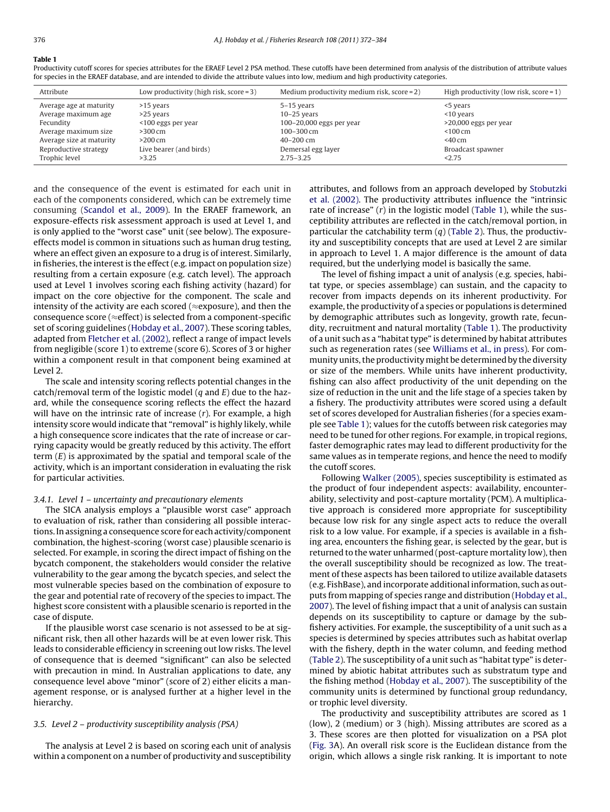#### **Table 1**

Productivity cutoff scores for species attributes for the ERAEF Level 2 PSA method. These cutoffs have been determined from analysis of the distribution of attribute values for species in the ERAEF database, and are intended to divide the attribute values into low, medium and high productivity categories.

| Attribute                | Low productivity (high risk, score = $3$ ) | Medium productivity medium risk, score = $2$ ) | High productivity (low risk, score = $1$ ) |
|--------------------------|--------------------------------------------|------------------------------------------------|--------------------------------------------|
| Average age at maturity  | >15 years                                  | $5-15$ years                                   | <5 years                                   |
| Average maximum age      | $>25$ years                                | $10-25$ years                                  | $10$ years                                 |
| Fecundity                | <100 eggs per year                         | $100 - 20,000$ eggs per year                   | >20,000 eggs per year                      |
| Average maximum size     | >300 cm                                    | 100-300 cm                                     | $<$ 100 $cm$                               |
| Average size at maturity | $>200$ cm                                  | 40-200 cm                                      | $<$ 40 cm                                  |
| Reproductive strategy    | Live bearer (and birds)                    | Demersal egg layer                             | Broadcast spawner                          |
| Trophic level            | >3.25                                      | $2.75 - 3.25$                                  | < 2.75                                     |

and the consequence of the event is estimated for each unit in each of the components considered, which can be extremely time consuming ([Scandol et al., 2009\).](#page-11-0) In the ERAEF framework, an exposure-effects risk assessment approach is used at Level 1, and is only applied to the "worst case" unit (see below). The exposureeffects model is common in situations such as human drug testing, where an effect given an exposure to a drug is of interest. Similarly, in fisheries, the interest is the effect (e.g. impact on population size) resulting from a certain exposure (e.g. catch level). The approach used at Level 1 involves scoring each fishing activity (hazard) for impact on the core objective for the component. The scale and intensity of the activity are each scored ( $\approx$ exposure), and then the consequence score ( $\approx$ effect) is selected from a component-specific set of scoring guidelines [\(Hobday et al., 2007\).](#page-11-0) These scoring tables, adapted from [Fletcher et al. \(2002\), r](#page-11-0)eflect a range of impact levels from negligible (score 1) to extreme (score 6). Scores of 3 or higher within a component result in that component being examined at Level 2.

The scale and intensity scoring reflects potential changes in the catch/removal term of the logistic model ( $q$  and  $E$ ) due to the hazard, while the consequence scoring reflects the effect the hazard will have on the intrinsic rate of increase  $(r)$ . For example, a high intensity score would indicate that "removal" is highly likely, while a high consequence score indicates that the rate of increase or carrying capacity would be greatly reduced by this activity. The effort term  $(E)$  is approximated by the spatial and temporal scale of the activity, which is an important consideration in evaluating the risk for particular activities.

#### 3.4.1. Level 1 – uncertainty and precautionary elements

The SICA analysis employs a "plausible worst case" approach to evaluation of risk, rather than considering all possible interactions. In assigning a consequence score for each activity/component combination, the highest-scoring (worst case) plausible scenario is selected. For example, in scoring the direct impact of fishing on the bycatch component, the stakeholders would consider the relative vulnerability to the gear among the bycatch species, and select the most vulnerable species based on the combination of exposure to the gear and potential rate of recovery of the species to impact. The highest score consistent with a plausible scenario is reported in the case of dispute.

If the plausible worst case scenario is not assessed to be at significant risk, then all other hazards will be at even lower risk. This leads to considerable efficiency in screening out low risks. The level of consequence that is deemed "significant" can also be selected with precaution in mind. In Australian applications to date, any consequence level above "minor" (score of 2) either elicits a management response, or is analysed further at a higher level in the hierarchy.

#### 3.5. Level 2 – productivity susceptibility analysis (PSA)

The analysis at Level 2 is based on scoring each unit of analysis within a component on a number of productivity and susceptibility attributes, and follows from an approach developed by [Stobutzki](#page-11-0) [et al. \(2002\).](#page-11-0) The productivity attributes influence the "intrinsic rate of increase"  $(r)$  in the logistic model (Table 1), while the susceptibility attributes are reflected in the catch/removal portion, in particular the catchability term  $(q)$  ([Table 2\).](#page-5-0) Thus, the productivity and susceptibility concepts that are used at Level 2 are similar in approach to Level 1. A major difference is the amount of data required, but the underlying model is basically the same.

The level of fishing impact a unit of analysis (e.g. species, habitat type, or species assemblage) can sustain, and the capacity to recover from impacts depends on its inherent productivity. For example, the productivity of a species or populations is determined by demographic attributes such as longevity, growth rate, fecundity, recruitment and natural mortality (Table 1). The productivity of a unit such as a "habitat type" is determined by habitat attributes such as regeneration rates (see [Williams et al., in press\).](#page-12-0) For community units, the productivity might be determined by the diversity or size of the members. While units have inherent productivity, fishing can also affect productivity of the unit depending on the size of reduction in the unit and the life stage of a species taken by a fishery. The productivity attributes were scored using a default set of scores developed for Australian fisheries (for a species example see Table 1); values for the cutoffs between risk categories may need to be tuned for other regions. For example, in tropical regions, faster demographic rates may lead to different productivity for the same values as in temperate regions, and hence the need to modify the cutoff scores.

Following [Walker \(2005\), s](#page-11-0)pecies susceptibility is estimated as the product of four independent aspects: availability, encounterability, selectivity and post-capture mortality (PCM). A multiplicative approach is considered more appropriate for susceptibility because low risk for any single aspect acts to reduce the overall risk to a low value. For example, if a species is available in a fishing area, encounters the fishing gear, is selected by the gear, but is returned to the water unharmed (post-capture mortality low), then the overall susceptibility should be recognized as low. The treatment of these aspects has been tailored to utilize available datasets (e.g. FishBase), and incorporate additional information, such as outputs from mapping of species range and distribution [\(Hobday et al.,](#page-11-0) [2007\).](#page-11-0) The level of fishing impact that a unit of analysis can sustain depends on its susceptibility to capture or damage by the subfishery activities. For example, the susceptibility of a unit such as a species is determined by species attributes such as habitat overlap with the fishery, depth in the water column, and feeding method [\(Table 2\).](#page-5-0) The susceptibility of a unit such as "habitat type" is determined by abiotic habitat attributes such as substratum type and the fishing method ([Hobday et al., 2007\).](#page-11-0) The susceptibility of the community units is determined by functional group redundancy, or trophic level diversity.

The productivity and susceptibility attributes are scored as 1 (low), 2 (medium) or 3 (high). Missing attributes are scored as a 3. These scores are then plotted for visualization on a PSA plot [\(Fig. 3A](#page-5-0)). An overall risk score is the Euclidean distance from the origin, which allows a single risk ranking. It is important to note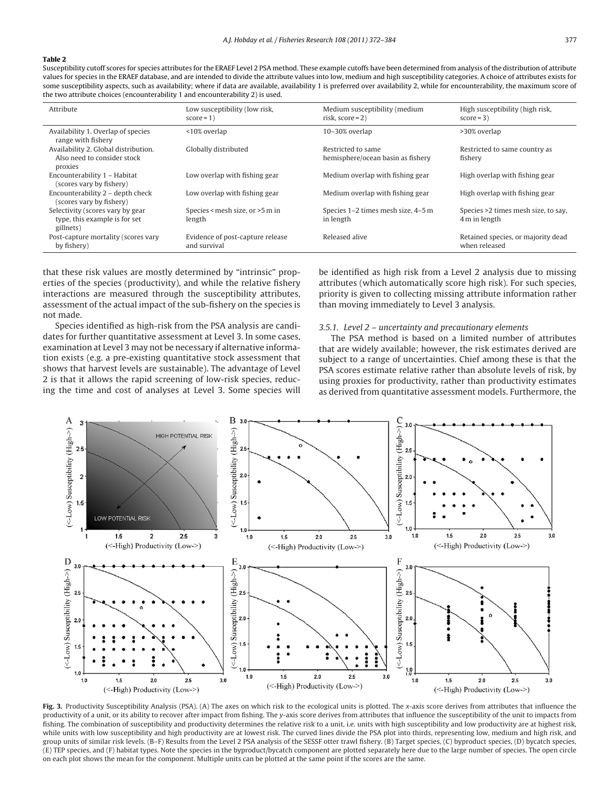# <span id="page-5-0"></span>**Table 2**

Susceptibility cutoff scores for species attributes for the ERAEF Level 2 PSA method. These example cutoffs have been determined from analysis of the distribution of attribute values for species in the ERAEF database, and are intended to divide the attribute values into low, medium and high susceptibility categories. A choice of attributes exists for some susceptibility aspects, such as availability; where if data are available, availability 1 is preferred over availability 2, while for encounterability, the maximum score of the two attribute choices (encounterability 1 and encounterability 2) is used.

| Attribute                                                                      | Low susceptibility (low risk,<br>$score = 1$     | Medium susceptibility (medium<br>risk, $score = 2$      | High susceptibility (high risk,<br>$score = 3)$      |
|--------------------------------------------------------------------------------|--------------------------------------------------|---------------------------------------------------------|------------------------------------------------------|
| Availability 1. Overlap of species<br>range with fishery                       | <10% overlap                                     | 10-30% overlap                                          | >30% overlap                                         |
| Availability 2. Global distribution.<br>Also need to consider stock<br>proxies | Globally distributed                             | Restricted to same<br>hemisphere/ocean basin as fishery | Restricted to same country as<br>fishery             |
| Encounterability 1 - Habitat<br>(scores vary by fishery)                       | Low overlap with fishing gear                    | Medium overlap with fishing gear                        | High overlap with fishing gear                       |
| Encounterability 2 - depth check<br>(scores vary by fishery)                   | Low overlap with fishing gear                    | Medium overlap with fishing gear                        | High overlap with fishing gear                       |
| Selectivity (scores vary by gear<br>type, this example is for set<br>gillnets) | Species < mesh size, or >5 m in<br>length        | Species 1-2 times mesh size, 4-5 m<br>in length         | Species >2 times mesh size, to say,<br>4 m in length |
| Post-capture mortality (scores vary<br>by fishery)                             | Evidence of post-capture release<br>and survival | Released alive                                          | Retained species, or majority dead<br>when released  |

that these risk values are mostly determined by "intrinsic" properties of the species (productivity), and while the relative fishery interactions are measured through the susceptibility attributes, assessment of the actual impact of the sub-fishery on the species is not made.

Species identified as high-risk from the PSA analysis are candidates for further quantitative assessment at Level 3. In some cases, examination at Level 3 may not be necessary if alternative information exists (e.g. a pre-existing quantitative stock assessment that shows that harvest levels are sustainable). The advantage of Level 2 is that it allows the rapid screening of low-risk species, reducing the time and cost of analyses at Level 3. Some species will be identified as high risk from a Level 2 analysis due to missing attributes (which automatically score high risk). For such species, priority is given to collecting missing attribute information rather than moving immediately to Level 3 analysis.

# 3.5.1. Level 2 – uncertainty and precautionary elements

The PSA method is based on a limited number of attributes that are widely available; however, the risk estimates derived are subject to a range of uncertainties. Chief among these is that the PSA scores estimate relative rather than absolute levels of risk, by using proxies for productivity, rather than productivity estimates as derived from quantitative assessment models. Furthermore, the



Fig. 3. Productivity Susceptibility Analysis (PSA). (A) The axes on which risk to the ecological units is plotted. The x-axis score derives from attributes that influence the productivity of a unit, or its ability to recover after impact from fishing. The y-axis score derives from attributes that influence the susceptibility of the unit to impacts from fishing. The combination of susceptibility and productivity determines the relative risk to a unit, i.e. units with high susceptibility and low productivity are at highest risk, while units with low susceptibility and high productivity are at lowest risk. The curved lines divide the PSA plot into thirds, representing low, medium and high risk, and group units of similar risk levels. (B–F) Results from the Level 2 PSA analysis of the SESSF otter trawl fishery. (B) Target species, (C) byproduct species, (D) bycatch species, (E) TEP species, and (F) habitat types. Note the species in the byproduct/bycatch component are plotted separately here due to the large number of species. The open circle on each plot shows the mean for the component. Multiple units can be plotted at the same point if the scores are the same.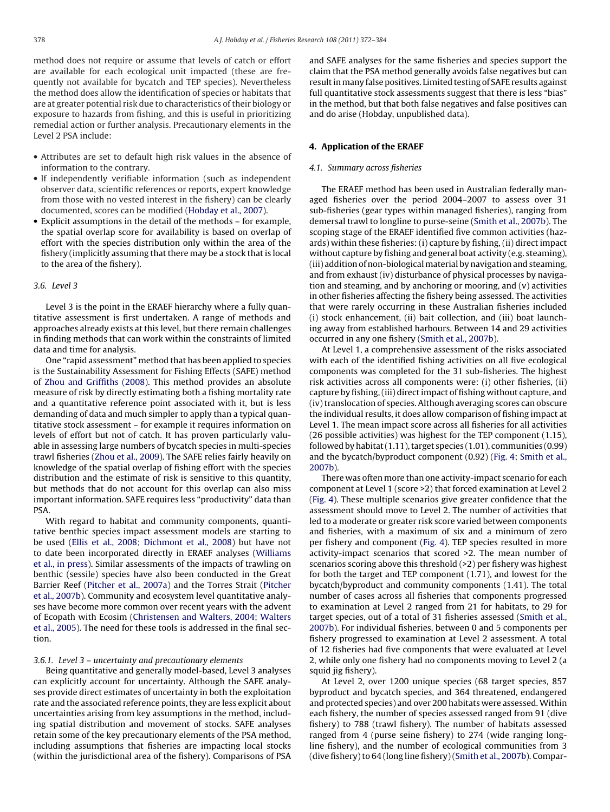method does not require or assume that levels of catch or effort are available for each ecological unit impacted (these are frequently not available for bycatch and TEP species). Nevertheless the method does allow the identification of species or habitats that are at greater potential risk due to characteristics of their biology or exposure to hazards from fishing, and this is useful in prioritizing remedial action or further analysis. Precautionary elements in the Level 2 PSA include:

- Attributes are set to default high risk values in the absence of information to the contrary.
- If independently verifiable information (such as independent observer data, scientific references or reports, expert knowledge from those with no vested interest in the fishery) can be clearly documented, scores can be modified ([Hobday et al., 2007\).](#page-11-0)
- Explicit assumptions in the detail of the methods for example, the spatial overlap score for availability is based on overlap of effort with the species distribution only within the area of the fishery (implicitly assuming that there may be a stock that is local to the area of the fishery).

#### 3.6. Level 3

Level 3 is the point in the ERAEF hierarchy where a fully quantitative assessment is first undertaken. A range of methods and approaches already exists at this level, but there remain challenges in finding methods that can work within the constraints of limited data and time for analysis.

One "rapid assessment" method that has been applied to species is the Sustainability Assessment for Fishing Effects (SAFE) method of [Zhou and Griffiths \(2008\). T](#page-12-0)his method provides an absolute measure of risk by directly estimating both a fishing mortality rate and a quantitative reference point associated with it, but is less demanding of data and much simpler to apply than a typical quantitative stock assessment – for example it requires information on levels of effort but not of catch. It has proven particularly valuable in assessing large numbers of bycatch species in multi-species trawl fisheries ([Zhou et al., 2009\).](#page-12-0) The SAFE relies fairly heavily on knowledge of the spatial overlap of fishing effort with the species distribution and the estimate of risk is sensitive to this quantity, but methods that do not account for this overlap can also miss important information. SAFE requires less "productivity" data than PSA.

With regard to habitat and community components, quantitative benthic species impact assessment models are starting to be used [\(Ellis et al., 2008; Dichmont et al., 2008\)](#page-11-0) but have not to date been incorporated directly in ERAEF analyses [\(Williams](#page-12-0) [et al., in press\).](#page-12-0) Similar assessments of the impacts of trawling on benthic (sessile) species have also been conducted in the Great Barrier Reef [\(Pitcher et al., 2007a\)](#page-11-0) and the Torres Strait [\(Pitcher](#page-11-0) [et al., 2007b\).](#page-11-0) Community and ecosystem level quantitative analyses have become more common over recent years with the advent of Ecopath with Ecosim ([Christensen and Walters, 2004; Walters](#page-11-0) [et al., 2005\).](#page-11-0) The need for these tools is addressed in the final section.

# 3.6.1. Level 3 – uncertainty and precautionary elements

Being quantitative and generally model-based, Level 3 analyses can explicitly account for uncertainty. Although the SAFE analyses provide direct estimates of uncertainty in both the exploitation rate and the associated reference points, they are less explicit about uncertainties arising from key assumptions in the method, including spatial distribution and movement of stocks. SAFE analyses retain some of the key precautionary elements of the PSA method, including assumptions that fisheries are impacting local stocks (within the jurisdictional area of the fishery). Comparisons of PSA and SAFE analyses for the same fisheries and species support the claim that the PSA method generally avoids false negatives but can result inmany false positives. Limited testing of SAFE results against full quantitative stock assessments suggest that there is less "bias" in the method, but that both false negatives and false positives can and do arise (Hobday, unpublished data).

# **4. Application of the ERAEF**

# 4.1. Summary across fisheries

The ERAEF method has been used in Australian federally managed fisheries over the period 2004–2007 to assess over 31 sub-fisheries (gear types within managed fisheries), ranging from demersal trawl to longline to purse-seine ([Smith et al., 2007b\).](#page-11-0) The scoping stage of the ERAEF identified five common activities (hazards) within these fisheries: (i) capture by fishing, (ii) direct impact without capture by fishing and general boat activity (e.g. steaming), (iii) addition of non-biological material by navigation and steaming, and from exhaust (iv) disturbance of physical processes by navigation and steaming, and by anchoring or mooring, and (v) activities in other fisheries affecting the fishery being assessed. The activities that were rarely occurring in these Australian fisheries included (i) stock enhancement, (ii) bait collection, and (iii) boat launching away from established harbours. Between 14 and 29 activities occurred in any one fishery ([Smith et al., 2007b\).](#page-11-0)

At Level 1, a comprehensive assessment of the risks associated with each of the identified fishing activities on all five ecological components was completed for the 31 sub-fisheries. The highest risk activities across all components were: (i) other fisheries, (ii) capture by fishing, (iii) direct impact of fishing without capture, and (iv) translocation of species. Although averaging scores can obscure the individual results, it does allow comparison of fishing impact at Level 1. The mean impact score across all fisheries for all activities (26 possible activities) was highest for the TEP component (1.15), followed by habitat (1.11), target species (1.01), communities (0.99) and the bycatch/byproduct component (0.92) [\(Fig. 4;](#page-7-0) [Smith et al.,](#page-11-0) [2007b\).](#page-11-0)

There was often more than one activity-impact scenario for each component at Level 1 (score >2) that forced examination at Level 2 [\(Fig. 4\).](#page-7-0) These multiple scenarios give greater confidence that the assessment should move to Level 2. The number of activities that led to a moderate or greater risk score varied between components and fisheries, with a maximum of six and a minimum of zero per fishery and component [\(Fig. 4\).](#page-7-0) TEP species resulted in more activity-impact scenarios that scored >2. The mean number of scenarios scoring above this threshold (>2) per fishery was highest for both the target and TEP component (1.71), and lowest for the bycatch/byproduct and community components (1.41). The total number of cases across all fisheries that components progressed to examination at Level 2 ranged from 21 for habitats, to 29 for target species, out of a total of 31 fisheries assessed ([Smith et al.,](#page-11-0) [2007b\).](#page-11-0) For individual fisheries, between 0 and 5 components per fishery progressed to examination at Level 2 assessment. A total of 12 fisheries had five components that were evaluated at Level 2, while only one fishery had no components moving to Level 2 (a squid jig fishery).

At Level 2, over 1200 unique species (68 target species, 857 byproduct and bycatch species, and 364 threatened, endangered and protected species) and over 200 habitats were assessed.Within each fishery, the number of species assessed ranged from 91 (dive fishery) to 788 (trawl fishery). The number of habitats assessed ranged from 4 (purse seine fishery) to 274 (wide ranging longline fishery), and the number of ecological communities from 3 (dive fishery) to 64 (long line fishery) ([Smith et al., 2007b\).](#page-11-0) Compar-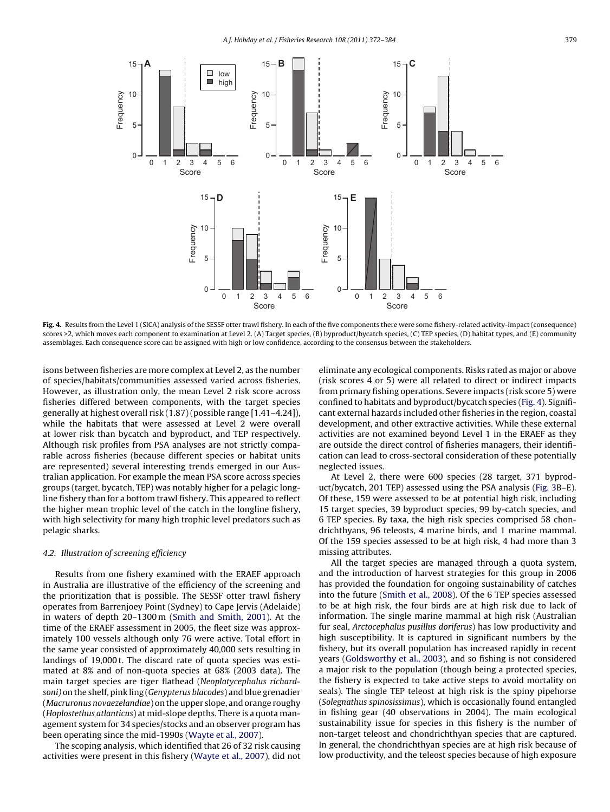<span id="page-7-0"></span>

Fig. 4. Results from the Level 1 (SICA) analysis of the SESSF otter trawl fishery. In each of the five components there were some fishery-related activity-impact (consequence) scores >2, which moves each component to examination at Level 2. (A) Target species, (B) byproduct/bycatch species, (C) TEP species, (D) habitat types, and (E) community assemblages. Each consequence score can be assigned with high or low confidence, according to the consensus between the stakeholders.

isons between fisheries are more complex at Level 2, as the number of species/habitats/communities assessed varied across fisheries. However, as illustration only, the mean Level 2 risk score across fisheries differed between components, with the target species generally at highest overall risk (1.87) (possible range [1.41–4.24]), while the habitats that were assessed at Level 2 were overall at lower risk than bycatch and byproduct, and TEP respectively. Although risk profiles from PSA analyses are not strictly comparable across fisheries (because different species or habitat units are represented) several interesting trends emerged in our Australian application. For example the mean PSA score across species groups (target, bycatch, TEP) was notably higher for a pelagic longline fishery than for a bottom trawl fishery. This appeared to reflect the higher mean trophic level of the catch in the longline fishery, with high selectivity for many high trophic level predators such as pelagic sharks.

# 4.2. Illustration of screening efficiency

Results from one fishery examined with the ERAEF approach in Australia are illustrative of the efficiency of the screening and the prioritization that is possible. The SESSF otter trawl fishery operates from Barrenjoey Point (Sydney) to Cape Jervis (Adelaide) in waters of depth 20–1300 m ([Smith and Smith, 2001\).](#page-11-0) At the time of the ERAEF assessment in 2005, the fleet size was approximately 100 vessels although only 76 were active. Total effort in the same year consisted of approximately 40,000 sets resulting in landings of 19,000 t. The discard rate of quota species was estimated at 8% and of non-quota species at 68% (2003 data). The main target species are tiger flathead (Neoplatycephalus richardsoni) on the shelf, pink ling (Genypterus blacodes) and blue grenadier (Macruronus novaezelandiae) on the upper slope, and orange roughy (Hoplostethus atlanticus) at mid-slope depths. There is a quota management system for 34 species/stocks and an observer program has been operating since the mid-1990s [\(Wayte et al., 2007\).](#page-12-0)

The scoping analysis, which identified that 26 of 32 risk causing activities were present in this fishery [\(Wayte et al., 2007\),](#page-12-0) did not eliminate any ecological components. Risks rated as major or above (risk scores 4 or 5) were all related to direct or indirect impacts from primary fishing operations. Severe impacts (risk score 5) were confined to habitats and byproduct/bycatch species (Fig. 4). Significant external hazards included other fisheries in the region, coastal development, and other extractive activities. While these external activities are not examined beyond Level 1 in the ERAEF as they are outside the direct control of fisheries managers, their identification can lead to cross-sectoral consideration of these potentially neglected issues.

At Level 2, there were 600 species (28 target, 371 byproduct/bycatch, 201 TEP) assessed using the PSA analysis [\(Fig. 3B](#page-5-0)–E). Of these, 159 were assessed to be at potential high risk, including 15 target species, 39 byproduct species, 99 by-catch species, and 6 TEP species. By taxa, the high risk species comprised 58 chondrichthyans, 96 teleosts, 4 marine birds, and 1 marine mammal. Of the 159 species assessed to be at high risk, 4 had more than 3 missing attributes.

All the target species are managed through a quota system, and the introduction of harvest strategies for this group in 2006 has provided the foundation for ongoing sustainability of catches into the future ([Smith et al., 2008\).](#page-11-0) Of the 6 TEP species assessed to be at high risk, the four birds are at high risk due to lack of information. The single marine mammal at high risk (Australian fur seal, Arctocephalus pusillus doriferus) has low productivity and high susceptibility. It is captured in significant numbers by the fishery, but its overall population has increased rapidly in recent years [\(Goldsworthy et al., 2003\),](#page-11-0) and so fishing is not considered a major risk to the population (though being a protected species, the fishery is expected to take active steps to avoid mortality on seals). The single TEP teleost at high risk is the spiny pipehorse (Solegnathus spinosissimus), which is occasionally found entangled in fishing gear (40 observations in 2004). The main ecological sustainability issue for species in this fishery is the number of non-target teleost and chondrichthyan species that are captured. In general, the chondrichthyan species are at high risk because of low productivity, and the teleost species because of high exposure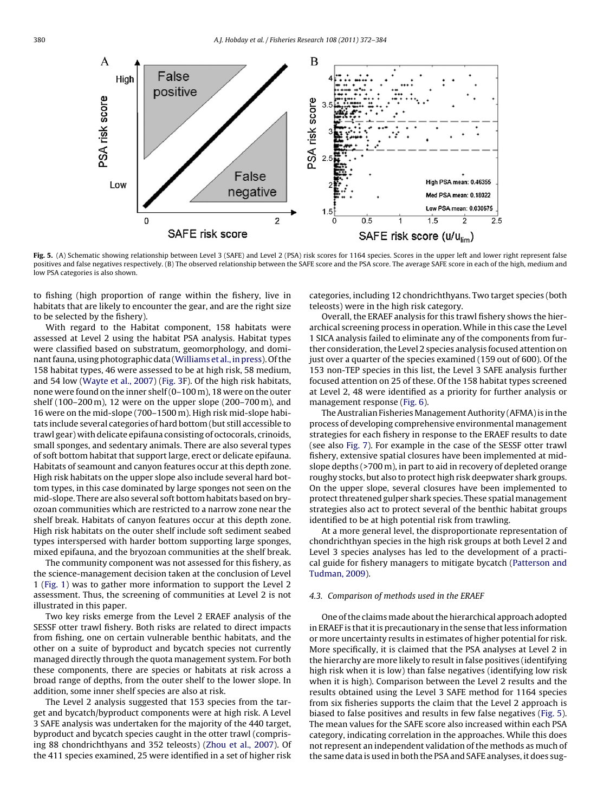

Fig. 5. (A) Schematic showing relationship between Level 3 (SAFE) and Level 2 (PSA) risk scores for 1164 species. Scores in the upper left and lower right represent false positives and false negatives respectively. (B) The observed relationship between the SAFE score and the PSA score. The average SAFE score in each of the high, medium and low PSA categories is also shown.

to fishing (high proportion of range within the fishery, live in habitats that are likely to encounter the gear, and are the right size to be selected by the fishery).

With regard to the Habitat component, 158 habitats were assessed at Level 2 using the habitat PSA analysis. Habitat types were classified based on substratum, geomorphology, and dominant fauna, using photographic data ([Williams et al., in press\).](#page-12-0) Of the 158 habitat types, 46 were assessed to be at high risk, 58 medium, and 54 low ([Wayte et al., 2007\)](#page-12-0) [\(Fig. 3F\)](#page-5-0). Of the high risk habitats, none were found on the inner shelf (0–100 m), 18 were on the outer shelf (100–200 m), 12 were on the upper slope (200–700 m), and 16 were on the mid-slope (700–1500 m). High risk mid-slope habitats include several categories of hard bottom (but still accessible to trawl gear) with delicate epifauna consisting of octocorals, crinoids, small sponges, and sedentary animals. There are also several types of soft bottom habitat that support large, erect or delicate epifauna. Habitats of seamount and canyon features occur at this depth zone. High risk habitats on the upper slope also include several hard bottom types, in this case dominated by large sponges not seen on the mid-slope. There are also several soft bottom habitats based on bryozoan communities which are restricted to a narrow zone near the shelf break. Habitats of canyon features occur at this depth zone. High risk habitats on the outer shelf include soft sediment seabed types interspersed with harder bottom supporting large sponges, mixed epifauna, and the bryozoan communities at the shelf break.

The community component was not assessed for this fishery, as the science-management decision taken at the conclusion of Level 1 [\(Fig. 1\)](#page-2-0) was to gather more information to support the Level 2 assessment. Thus, the screening of communities at Level 2 is not illustrated in this paper.

Two key risks emerge from the Level 2 ERAEF analysis of the SESSF otter trawl fishery. Both risks are related to direct impacts from fishing, one on certain vulnerable benthic habitats, and the other on a suite of byproduct and bycatch species not currently managed directly through the quota management system. For both these components, there are species or habitats at risk across a broad range of depths, from the outer shelf to the lower slope. In addition, some inner shelf species are also at risk.

The Level 2 analysis suggested that 153 species from the target and bycatch/byproduct components were at high risk. A Level 3 SAFE analysis was undertaken for the majority of the 440 target, byproduct and bycatch species caught in the otter trawl (comprising 88 chondrichthyans and 352 teleosts) [\(Zhou et al., 2007\).](#page-12-0) Of the 411 species examined, 25 were identified in a set of higher risk categories, including 12 chondrichthyans. Two target species (both teleosts) were in the high risk category.

Overall, the ERAEF analysis for this trawl fishery shows the hierarchical screening process in operation. While in this case the Level 1 SICA analysis failed to eliminate any of the components from further consideration, the Level 2 species analysis focused attention on just over a quarter of the species examined (159 out of 600). Of the 153 non-TEP species in this list, the Level 3 SAFE analysis further focused attention on 25 of these. Of the 158 habitat types screened at Level 2, 48 were identified as a priority for further analysis or management response ([Fig. 6\).](#page-9-0)

The Australian Fisheries Management Authority (AFMA) is in the process of developing comprehensive environmental management strategies for each fishery in response to the ERAEF results to date (see also [Fig. 7\).](#page-9-0) For example in the case of the SESSF otter trawl fishery, extensive spatial closures have been implemented at midslope depths (>700 m), in part to aid in recovery of depleted orange roughy stocks, but also to protect high risk deepwater shark groups. On the upper slope, several closures have been implemented to protect threatened gulper shark species. These spatial management strategies also act to protect several of the benthic habitat groups identified to be at high potential risk from trawling.

At a more general level, the disproportionate representation of chondrichthyan species in the high risk groups at both Level 2 and Level 3 species analyses has led to the development of a practical guide for fishery managers to mitigate bycatch ([Patterson and](#page-11-0) [Tudman, 2009\).](#page-11-0)

# 4.3. Comparison of methods used in the ERAEF

One of the claims made about the hierarchical approach adopted in ERAEF is that it is precautionary in the sense that less information or more uncertainty results in estimates of higher potential for risk. More specifically, it is claimed that the PSA analyses at Level 2 in the hierarchy are more likely to result in false positives (identifying high risk when it is low) than false negatives (identifying low risk when it is high). Comparison between the Level 2 results and the results obtained using the Level 3 SAFE method for 1164 species from six fisheries supports the claim that the Level 2 approach is biased to false positives and results in few false negatives (Fig. 5). The mean values for the SAFE score also increased within each PSA category, indicating correlation in the approaches. While this does not represent an independent validation of the methods as much of the same data is used in both the PSA and SAFE analyses, it does sug-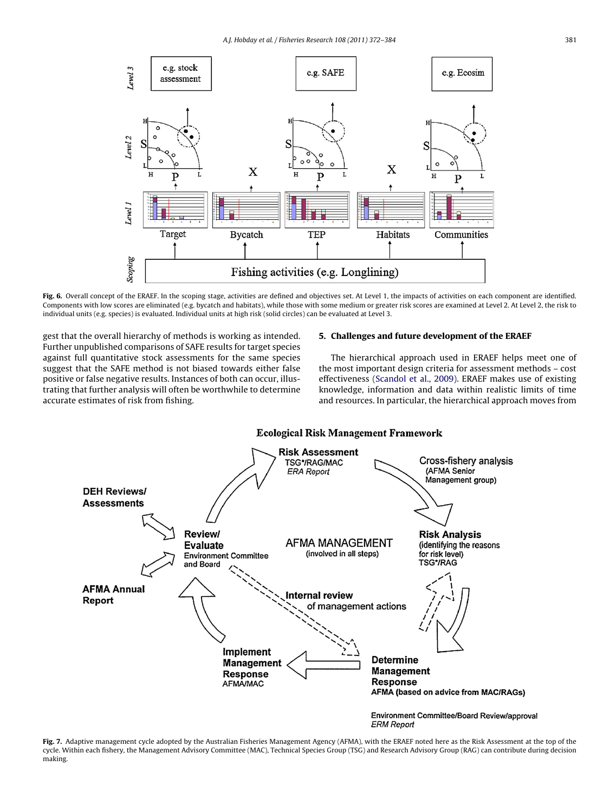<span id="page-9-0"></span>

Fig. 6. Overall concept of the ERAEF. In the scoping stage, activities are defined and objectives set. At Level 1, the impacts of activities on each component are identified. Components with low scores are eliminated (e.g. bycatch and habitats), while those with some medium or greater risk scores are examined at Level 2. At Level 2, the risk to individual units (e.g. species) is evaluated. Individual units at high risk (solid circles) can be evaluated at Level 3.

gest that the overall hierarchy of methods is working as intended. Further unpublished comparisons of SAFE results for target species against full quantitative stock assessments for the same species suggest that the SAFE method is not biased towards either false positive or false negative results. Instances of both can occur, illustrating that further analysis will often be worthwhile to determine accurate estimates of risk from fishing.

# **5. Challenges and future development of the ERAEF**

The hierarchical approach used in ERAEF helps meet one of the most important design criteria for assessment methods – cost effectiveness ([Scandol et al., 2009\).](#page-11-0) ERAEF makes use of existing knowledge, information and data within realistic limits of time and resources. In particular, the hierarchical approach moves from



Fig. 7. Adaptive management cycle adopted by the Australian Fisheries Management Agency (AFMA), with the ERAEF noted here as the Risk Assessment at the top of the cycle. Within each fishery, the Management Advisory Committee (MAC), Technical Species Group (TSG) and Research Advisory Group (RAG) can contribute during decision making.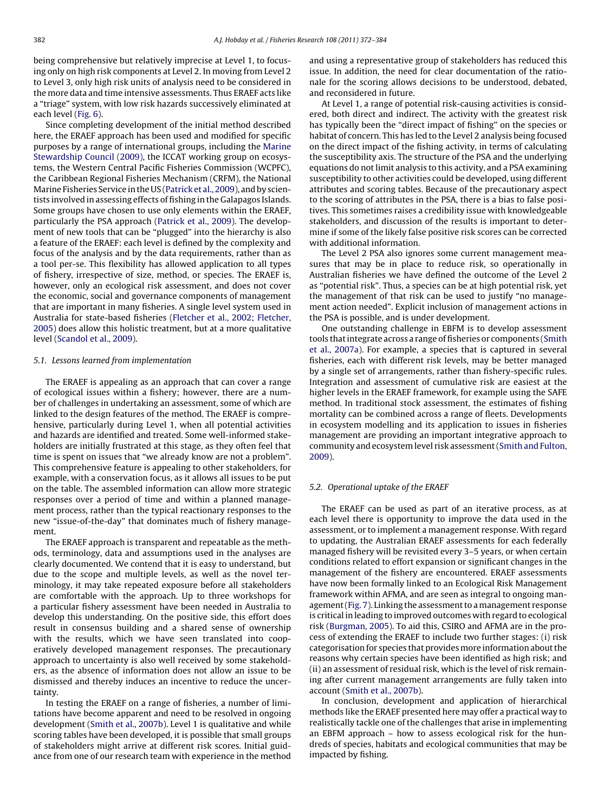being comprehensive but relatively imprecise at Level 1, to focusing only on high risk components at Level 2. In moving from Level 2 to Level 3, only high risk units of analysis need to be considered in the more data and time intensive assessments. Thus ERAEF acts like a "triage" system, with low risk hazards successively eliminated at each level ([Fig. 6\).](#page-9-0)

Since completing development of the initial method described here, the ERAEF approach has been used and modified for specific purposes by a range of international groups, including the [Marine](#page-11-0) [Stewardship Council \(2009\), t](#page-11-0)he ICCAT working group on ecosystems, the Western Central Pacific Fisheries Commission (WCPFC), the Caribbean Regional Fisheries Mechanism (CRFM), the National Marine Fisheries Service in the US ([Patrick et al., 2009\),](#page-11-0) and by scientists involved in assessing effects of fishing in the Galapagos Islands. Some groups have chosen to use only elements within the ERAEF, particularly the PSA approach ([Patrick et al., 2009\).](#page-11-0) The development of new tools that can be "plugged" into the hierarchy is also a feature of the ERAEF: each level is defined by the complexity and focus of the analysis and by the data requirements, rather than as a tool per-se. This flexibility has allowed application to all types of fishery, irrespective of size, method, or species. The ERAEF is, however, only an ecological risk assessment, and does not cover the economic, social and governance components of management that are important in many fisheries. A single level system used in Australia for state-based fisheries ([Fletcher et al., 2002; Fletcher,](#page-11-0) [2005\)](#page-11-0) does allow this holistic treatment, but at a more qualitative level [\(Scandol et al., 2009\).](#page-11-0)

## 5.1. Lessons learned from implementation

The ERAEF is appealing as an approach that can cover a range of ecological issues within a fishery; however, there are a number of challenges in undertaking an assessment, some of which are linked to the design features of the method. The ERAEF is comprehensive, particularly during Level 1, when all potential activities and hazards are identified and treated. Some well-informed stakeholders are initially frustrated at this stage, as they often feel that time is spent on issues that "we already know are not a problem". This comprehensive feature is appealing to other stakeholders, for example, with a conservation focus, as it allows all issues to be put on the table. The assembled information can allow more strategic responses over a period of time and within a planned management process, rather than the typical reactionary responses to the new "issue-of-the-day" that dominates much of fishery management.

The ERAEF approach is transparent and repeatable as the methods, terminology, data and assumptions used in the analyses are clearly documented. We contend that it is easy to understand, but due to the scope and multiple levels, as well as the novel terminology, it may take repeated exposure before all stakeholders are comfortable with the approach. Up to three workshops for a particular fishery assessment have been needed in Australia to develop this understanding. On the positive side, this effort does result in consensus building and a shared sense of ownership with the results, which we have seen translated into cooperatively developed management responses. The precautionary approach to uncertainty is also well received by some stakeholders, as the absence of information does not allow an issue to be dismissed and thereby induces an incentive to reduce the uncertainty.

In testing the ERAEF on a range of fisheries, a number of limitations have become apparent and need to be resolved in ongoing development [\(Smith et al., 2007b\).](#page-11-0) Level 1 is qualitative and while scoring tables have been developed, it is possible that small groups of stakeholders might arrive at different risk scores. Initial guidance from one of our research team with experience in the method and using a representative group of stakeholders has reduced this issue. In addition, the need for clear documentation of the rationale for the scoring allows decisions to be understood, debated, and reconsidered in future.

At Level 1, a range of potential risk-causing activities is considered, both direct and indirect. The activity with the greatest risk has typically been the "direct impact of fishing" on the species or habitat of concern. This has led to the Level 2 analysis being focused on the direct impact of the fishing activity, in terms of calculating the susceptibility axis. The structure of the PSA and the underlying equations do not limit analysis to this activity, and a PSA examining susceptibility to other activities could be developed, using different attributes and scoring tables. Because of the precautionary aspect to the scoring of attributes in the PSA, there is a bias to false positives. This sometimes raises a credibility issue with knowledgeable stakeholders, and discussion of the results is important to determine if some of the likely false positive risk scores can be corrected with additional information.

The Level 2 PSA also ignores some current management measures that may be in place to reduce risk, so operationally in Australian fisheries we have defined the outcome of the Level 2 as "potential risk". Thus, a species can be at high potential risk, yet the management of that risk can be used to justify "no management action needed". Explicit inclusion of management actions in the PSA is possible, and is under development.

One outstanding challenge in EBFM is to develop assessment tools that integrate across a range of fisheries or components [\(Smith](#page-11-0) [et al., 2007a\).](#page-11-0) For example, a species that is captured in several fisheries, each with different risk levels, may be better managed by a single set of arrangements, rather than fishery-specific rules. Integration and assessment of cumulative risk are easiest at the higher levels in the ERAEF framework, for example using the SAFE method. In traditional stock assessment, the estimates of fishing mortality can be combined across a range of fleets. Developments in ecosystem modelling and its application to issues in fisheries management are providing an important integrative approach to community and ecosystem level risk assessment ([Smith and Fulton,](#page-11-0) [2009\).](#page-11-0)

### 5.2. Operational uptake of the ERAEF

The ERAEF can be used as part of an iterative process, as at each level there is opportunity to improve the data used in the assessment, or to implement a management response. With regard to updating, the Australian ERAEF assessments for each federally managed fishery will be revisited every 3–5 years, or when certain conditions related to effort expansion or significant changes in the management of the fishery are encountered. ERAEF assessments have now been formally linked to an Ecological Risk Management framework within AFMA, and are seen as integral to ongoing management ([Fig. 7\).](#page-9-0) Linking the assessment to amanagement response is critical in leading to improved outcomes with regard to ecological risk ([Burgman, 2005\).](#page-11-0) To aid this, CSIRO and AFMA are in the process of extending the ERAEF to include two further stages: (i) risk categorisation for species that provides more information about the reasons why certain species have been identified as high risk; and (ii) an assessment of residual risk, which is the level of risk remaining after current management arrangements are fully taken into account [\(Smith et al., 2007b\).](#page-11-0)

In conclusion, development and application of hierarchical methods like the ERAEF presented here may offer a practical way to realistically tackle one of the challenges that arise in implementing an EBFM approach – how to assess ecological risk for the hundreds of species, habitats and ecological communities that may be impacted by fishing.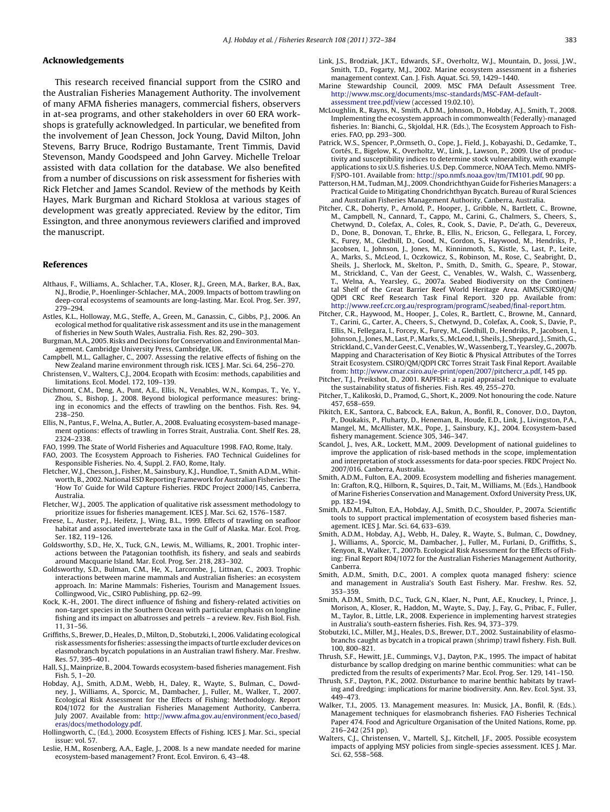#### <span id="page-11-0"></span>**Acknowledgements**

This research received financial support from the CSIRO and the Australian Fisheries Management Authority. The involvement of many AFMA fisheries managers, commercial fishers, observers in at-sea programs, and other stakeholders in over 60 ERA workshops is gratefully acknowledged. In particular, we benefited from the involvement of Jean Chesson, Jock Young, David Milton, John Stevens, Barry Bruce, Rodrigo Bustamante, Trent Timmis, David Stevenson, Mandy Goodspeed and John Garvey. Michelle Treloar assisted with data collation for the database. We also benefited from a number of discussions on risk assessment for fisheries with Rick Fletcher and James Scandol. Review of the methods by Keith Hayes, Mark Burgman and Richard Stoklosa at various stages of development was greatly appreciated. Review by the editor, Tim Essington, and three anonymous reviewers clarified and improved the manuscript.

#### **References**

- Althaus, F., Williams, A., Schlacher, T.A., Kloser, R.J., Green, M.A., Barker, B.A., Bax, N.J., Brodie, P., Hoenlinger-Schlacher, M.A., 2009. Impacts of bottom trawling on deep-coral ecosystems of seamounts are long-lasting. Mar. Ecol. Prog. Ser. 397, 279–294.
- Astles, K.L., Holloway, M.G., Steffe, A., Green, M., Ganassin, C., Gibbs, P.J., 2006. An ecological method for qualitative risk assessment and its use in the management of fisheries in New South Wales, Australia. Fish. Res. 82, 290–303.
- Burgman, M.A., 2005. Risks and Decisions for Conservation and Environmental Management. Cambridge University Press, Cambridge, UK.
- Campbell, M.L., Gallagher, C., 2007. Assessing the relative effects of fishing on the New Zealand marine environment through risk. ICES J. Mar. Sci. 64, 256–270.
- Christensen, V., Walters, C.J., 2004. Ecopath with Ecosim: methods, capabilities and limitations. Ecol. Model. 172, 109–139.
- Dichmont, C.M., Deng, A., Punt, A.E., Ellis, N., Venables, W.N., Kompas, T., Ye, Y., Zhou, S., Bishop, J., 2008. Beyond biological performance measures: bringing in economics and the effects of trawling on the benthos. Fish. Res. 94, 238–250.
- Ellis, N., Pantus, F., Welna, A., Butler, A., 2008. Evaluating ecosystem-based management options: effects of trawling in Torres Strait, Australia. Cont. Shelf Res. 28, 2324–2338.
- FAO, 1999. The State of World Fisheries and Aquaculture 1998. FAO, Rome, Italy.
- FAO, 2003. The Ecosystem Approach to Fisheries. FAO Technical Guidelines for Responsible Fisheries. No. 4, Suppl. 2. FAO, Rome, Italy. Fletcher, W.J., Chesson, J., Fisher, M., Sainsbury, K.J., Hundloe, T., Smith A.D.M., Whit-
- worth, B., 2002. National ESD Reporting Framework for Australian Fisheries: The 'How To' Guide for Wild Capture Fisheries. FRDC Project 2000/145, Canberra, Australia.
- Fletcher, W.J., 2005. The application of qualitative risk assessment methodology to prioritize issues for fisheries management. ICES J. Mar. Sci. 62, 1576–1587.
- Freese, L., Auster, P.J., Heifetz, J., Wing, B.L., 1999. Effects of trawling on seafloor habitat and associated invertebrate taxa in the Gulf of Alaska. Mar. Ecol. Prog. Ser. 182, 119–126.
- Goldsworthy, S.D., He, X., Tuck, G.N., Lewis, M., Williams, R., 2001. Trophic interactions between the Patagonian toothfish, its fishery, and seals and seabirds around Macquarie Island. Mar. Ecol. Prog. Ser. 218, 283–302.
- Goldsworthy, S.D., Bulman, C.M., He, X., Larcombe, J., Littnan, C., 2003. Trophic interactions between marine mammals and Australian fisheries: an ecosystem approach. In: Marine Mammals: Fisheries, Tourism and Management Issues. Collingwood, Vic., CSIRO Publishing, pp. 62–99.
- Kock, K.-H., 2001. The direct influence of fishing and fishery-related activities on non-target species in the Southern Ocean with particular emphasis on longline fishing and its impact on albatrosses and petrels – a review. Rev. Fish Biol. Fish. 11, 31–56.
- Griffiths, S., Brewer, D., Heales, D., Milton, D., Stobutzki, I., 2006. Validating ecological risk assessments for fisheries: assessing the impacts of turtle excluder devices on elasmobranch bycatch populations in an Australian trawl fishery. Mar. Freshw. Res. 57, 395–401.
- Hall, S.J., Mainprize, B., 2004. Towards ecosystem-based fisheries management. Fish Fish. 5, 1–20.
- Hobday, A.J., Smith, A.D.M., Webb, H., Daley, R., Wayte, S., Bulman, C., Dowdney, J., Williams, A., Sporcic, M., Dambacher, J., Fuller, M., Walker, T., 2007. Ecological Risk Assessment for the Effects of Fishing: Methodology. Report R04/1072 for the Australian Fisheries Management Authority, Canberra. July 2007. Available from: [http://www.afma.gov.au/environment/eco](http://www.afma.gov.au/environment/eco_based/eras/docs/methodology.pdf) based/ [eras/docs/methodology.pdf](http://www.afma.gov.au/environment/eco_based/eras/docs/methodology.pdf).
- Hollingworth, C., (Ed.), 2000. Ecosystem Effects of Fishing. ICES J. Mar. Sci., special issue: vol. 57.
- Leslie, H.M., Rosenberg, A.A., Eagle, J., 2008. Is a new mandate needed for marine ecosystem-based management? Front. Ecol. Environ. 6, 43–48.
- Link, J.S., Brodziak, J.K.T., Edwards, S.F., Overholtz, W.J., Mountain, D., Jossi, J.W., Smith, T.D., Fogarty, M.J., 2002. Marine ecosystem assessment in a fisheries management context. Can. J. Fish. Aquat. Sci. 59, 1429–1440.
- Marine Stewardship Council, 2009. MSC FMA Default Assessment Tree. [http://www.msc.org/documents/msc-standards/MSC-FAM-default](http://www.msc.org/documents/msc-standards/MSC-FAM-default-assessment%20tree.pdf/view)assessment tree.pdf/view (accessed 19.02.10).
- McLoughlin, R., Rayns, N., Smith, A.D.M., Johnson, D., Hobday, A.J., Smith, T., 2008. Implementing the ecosystem approach in commonwealth (Federally)-managed fisheries. In: Bianchi, G., Skjoldal, H.R. (Eds.), The Ecosystem Approach to Fisheries. FAO, pp. 293–300.
- Patrick, W.S., Spencer, P.,Ormseth, O., Cope, J., Field, J., Kobayashi, D., Gedamke, T., Cortés, E., Bigelow, K., Overholtz, W., Link, J., Lawson, P., 2009. Use of productivity and susceptibility indices to determine stock vulnerability, with example applications to six U.S. fisheries. U.S. Dep. Commerce, NOAA Tech. Memo. NMFS-F/SPO-101. Available from: [http://spo.nmfs.noaa.gov/tm/TM101.pdf,](http://spo.nmfs.noaa.gov/tm/TM101.pdf) 90 pp.
- Patterson, H.M., Tudman, M.J., 2009. Chondrichthyan Guide for Fisheries Managers: a Practical Guide to Mitigating Chondrichthyan Bycatch. Bureau of Rural Sciences and Australian Fisheries Management Authority, Canberra, Australia.
- Pitcher, C.R., Doherty, P., Arnold, P., Hooper, J., Gribble, N., Bartlett, C., Browne, M., Campbell, N., Cannard, T., Cappo, M., Carini, G., Chalmers, S., Cheers, S., Chetwynd, D., Colefax, A., Coles, R., Cook, S., Davie, P., De'ath, G., Devereux, D., Done, B., Donovan, T., Ehrke, B., Ellis, N., Ericson, G., Fellegara, I., Forcey, K., Furey, M., Gledhill, D., Good, N., Gordon, S., Haywood, M., Hendriks, P., Jacobsen, I., Johnson, J., Jones, M., Kinninmoth, S., Kistle, S., Last, P., Leite, A., Marks, S., McLeod, I., Oczkowicz, S., Robinson, M., Rose, C., Seabright, D., Sheils, J., Sherlock, M., Skelton, P., Smith, D., Smith, G., Speare, P., Stowar, M., Strickland, C., Van der Geest, C., Venables, W., Walsh, C., Wassenberg, Welna, A., Yearsley, G., 2007a. Seabed Biodiversity on the Continental Shelf of the Great Barrier Reef World Heritage Area. AIMS/CSIRO/QM/ QDPI CRC Reef Research Task Final Report. 320 pp. Available from: [http://www.reef.crc.org.au/resprogram/programC/seabed/final-report.htm.](http://www.reef.crc.org.au/resprogram/programC/seabed/final-report.htm)
- Pitcher, C.R., Haywood, M., Hooper, J., Coles, R., Bartlett, C., Browne, M., Cannard, T., Carini, G., Carter, A., Cheers, S., Chetwynd, D., Colefax, A., Cook, S., Davie, P., Ellis, N., Fellegara, I., Forcey, K., Furey, M., Gledhill, D., Hendriks, P., Jacobsen, I., Johnson, J., Jones, M., Last, P., Marks, S., McLeod, I., Sheils, J., Sheppard, J., Smith, G., Strickland, C., Van der Geest, C., Venables,W.,Wassenberg, T., Yearsley, G., 2007b. Mapping and Characterisation of Key Biotic & Physical Attributes of the Torres Strait Ecosystem. CSIRO/QM/QDPI CRC Torres Strait Task Final Report. Available from: [http://www.cmar.csiro.au/e-print/open/2007/pitchercr](http://www.cmar.csiro.au/e-print/open/2007/pitchercr_a.pdf) a.pdf, 145 pp.
- Pitcher, T.J., Preikshot, D., 2001. RAPFISH: a rapid appraisal technique to evaluate the sustainability status of fisheries. Fish. Res. 49, 255–270.
- Pitcher, T., Kalikoski, D., Pramod, G., Short, K., 2009. Not honouring the code. Nature 457, 658–659.
- Pikitch, E.K., Santora, C., Babcock, E.A., Bakun, A., Bonfil, R., Conover, D.O., Dayton, P., Doukakis, P., Fluharty, D., Heneman, B., Houde, E.D., Link, J., Livingston, P.A., Mangel, M., McAllister, M.K., Pope, J., Sainsbury, K.J., 2004. Ecosystem-based fishery management. Science 305, 346–347.
- Scandol, J., Ives, A.R., Lockett, M.M., 2009. Development of national guidelines to improve the application of risk-based methods in the scope, implementation and interpretation of stock assessments for data-poor species. FRDC Project No. 2007/016. Canberra, Australia.
- Smith, A.D.M., Fulton, E.A., 2009. Ecosystem modelling and fisheries management. In: Grafton, R.Q., Hilborn, R., Squires, D., Tait, M., Williams, M. (Eds.), Handbook of Marine Fisheries Conservation and Management. Oxford University Press, UK, pp. 182–194.
- Smith, A.D.M., Fulton, E.A., Hobday, A.J., Smith, D.C., Shoulder, P., 2007a. Scientific tools to support practical implementation of ecosystem based fisheries management. ICES J. Mar. Sci. 64, 633–639.
- Smith, A.D.M., Hobday, A.J., Webb, H., Daley, R., Wayte, S., Bulman, C., Dowdney, J., Williams, A., Sporcic, M., Dambacher, J., Fuller, M., Furlani, D., Griffiths, S., Kenyon, R., Walker, T., 2007b. Ecological Risk Assessment for the Effects of Fishing: Final Report R04/1072 for the Australian Fisheries Management Authority, Canberra.
- Smith, A.D.M., Smith, D.C., 2001. A complex quota managed fishery: science and management in Australia's South East Fishery. Mar. Freshw. Res. 52, 353–359.
- Smith, A.D.M., Smith, D.C., Tuck, G.N., Klaer, N., Punt, A.E., Knuckey, I., Prince, J., Morison, A., Kloser, R., Haddon, M., Wayte, S., Day, J., Fay, G., Pribac, F., Fuller, M., Taylor, B., Little, L.R., 2008. Experience in implementing harvest strategies in Australia's south-eastern fisheries. Fish. Res. 94, 373–379.
- Stobutzki, I.C., Miller, M.J., Heales, D.S., Brewer, D.T., 2002. Sustainability of elasmobranchs caught as bycatch in a tropical prawn (shrimp) trawl fishery. Fish. Bull. 100, 800–821.
- Thrush, S.F., Hewitt, J.E., Cummings, V.J., Dayton, P.K., 1995. The impact of habitat disturbance by scallop dredging on marine benthic communities: what can be predicted from the results of experiments? Mar. Ecol. Prog. Ser. 129, 141–150.
- Thrush, S.F., Dayton, P.K., 2002. Disturbance to marine benthic habitats by trawling and dredging: implications for marine biodiversity. Ann. Rev. Ecol. Syst. 33, 449–473.
- Walker, T.I., 2005. 13. Management measures. In: Musick, J.A., Bonfil, R. (Eds.). Management techniques for elasmobranch fisheries. FAO Fisheries Technical Paper 474. Food and Agriculture Organisation of the United Nations, Rome, pp. 216–242 (251 pp).
- Walters, C.J., Christensen, V., Martell, S.J., Kitchell, J.F., 2005. Possible ecosystem impacts of applying MSY policies from single-species assessment. ICES J. Mar. Sci. 62, 558–568.